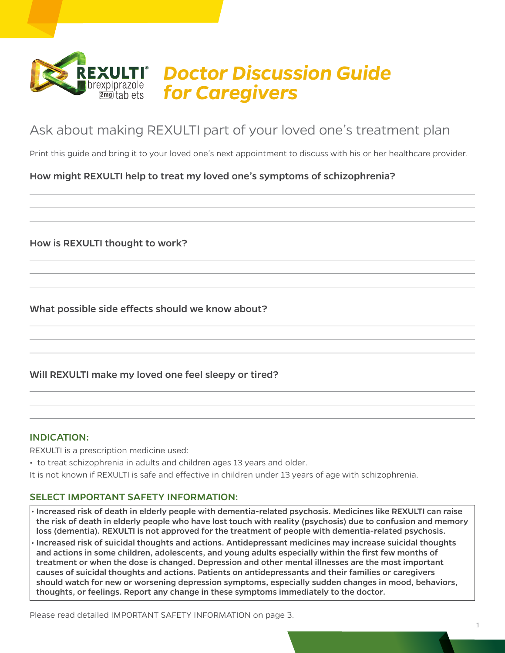

# *Doctor Discussion Guide*  brexpiprazole **for Caregivers**

# Ask about making REXULTI part of your loved one's treatment plan

Print this guide and bring it to your loved one's next appointment to discuss with his or her healthcare provider.

### How might REXULTI help to treat my loved one's symptoms of schizophrenia?

How is REXULTI thought to work?

What possible side effects should we know about?

#### Will REXULTI make my loved one feel sleepy or tired?

#### INDICATION:

REXULTI is a prescription medicine used:

• to treat schizophrenia in adults and children ages 13 years and older.

It is not known if REXULTI is safe and effective in children under 13 years of age with schizophrenia.

#### SELECT IMPORTANT SAFETY INFORMATION:

• Increased risk of death in elderly people with dementia-related psychosis. Medicines like REXULTI can raise the risk of death in elderly people who have lost touch with reality (psychosis) due to confusion and memory loss (dementia). REXULTI is not approved for the treatment of people with dementia-related psychosis. • Increased risk of suicidal thoughts and actions. Antidepressant medicines may increase suicidal thoughts and actions in some children, adolescents, and young adults especially within the first few months of treatment or when the dose is changed. Depression and other mental illnesses are the most important causes of suicidal thoughts and actions. Patients on antidepressants and their families or caregivers should watch for new or worsening depression symptoms, especially sudden changes in mood, behaviors, thoughts, or feelings. Report any change in these symptoms immediately to the doctor.

Please read detailed IMPORTANT SAFETY INFORMATION on page 3.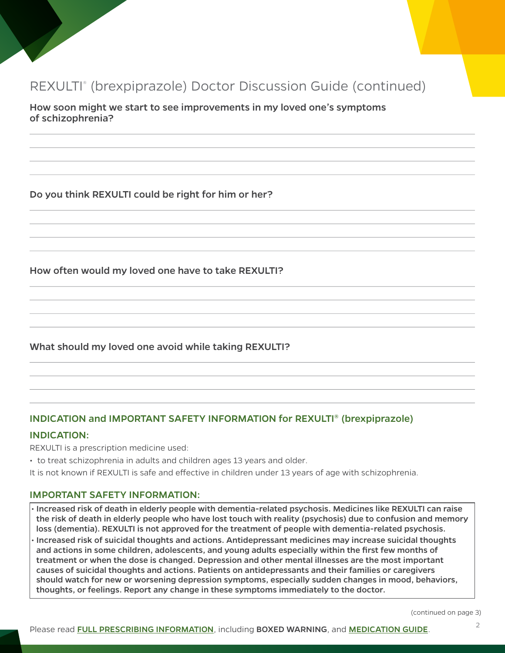# REXULTI® (brexpiprazole) Doctor Discussion Guide (continued)

How soon might we start to see improvements in my loved one's symptoms of schizophrenia?

Do you think REXULTI could be right for him or her?

How often would my loved one have to take REXULTI?

#### What should my loved one avoid while taking REXULTI?

#### INDICATION and IMPORTANT SAFETY INFORMATION for REXULTI® (brexpiprazole)

#### INDICATION:

REXULTI is a prescription medicine used:

- to treat schizophrenia in adults and children ages 13 years and older.
- It is not known if REXULTI is safe and effective in children under 13 years of age with schizophrenia.

#### IMPORTANT SAFETY INFORMATION:

- Increased risk of death in elderly people with dementia-related psychosis. Medicines like REXULTI can raise the risk of death in elderly people who have lost touch with reality (psychosis) due to confusion and memory loss (dementia). REXULTI is not approved for the treatment of people with dementia-related psychosis.
- Increased risk of suicidal thoughts and actions. Antidepressant medicines may increase suicidal thoughts and actions in some children, adolescents, and young adults especially within the first few months of treatment or when the dose is changed. Depression and other mental illnesses are the most important causes of suicidal thoughts and actions. Patients on antidepressants and their families or caregivers should watch for new or worsening depression symptoms, especially sudden changes in mood, behaviors, thoughts, or feelings. Report any change in these symptoms immediately to the doctor.

(continued on page 3)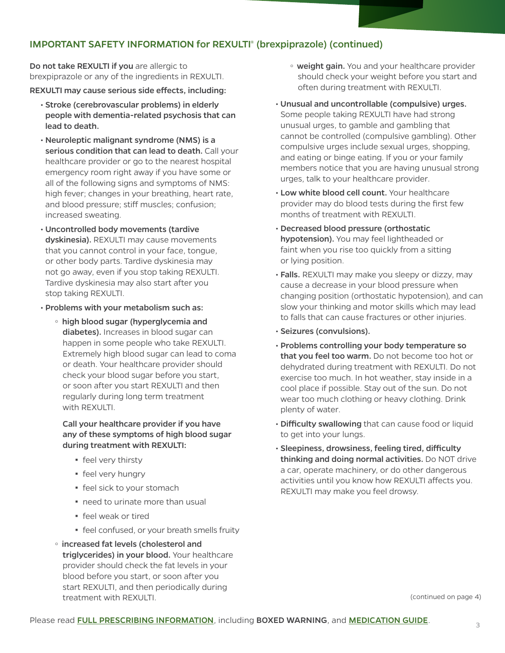### IMPORTANT SAFETY INFORMATION for REXULTI® (brexpiprazole) (continued)

Do not take REXULTI if you are allergic to brexpiprazole or any of the ingredients in REXULTI.

REXULTI may cause serious side effects, including:

- Stroke (cerebrovascular problems) in elderly people with dementia-related psychosis that can lead to death.
- Neuroleptic malignant syndrome (NMS) is a serious condition that can lead to death. Call your healthcare provider or go to the nearest hospital emergency room right away if you have some or all of the following signs and symptoms of NMS: high fever; changes in your breathing, heart rate, and blood pressure; stiff muscles; confusion; increased sweating.
- Uncontrolled body movements (tardive dyskinesia). REXULTI may cause movements that you cannot control in your face, tongue, or other body parts. Tardive dyskinesia may not go away, even if you stop taking REXULTI. Tardive dyskinesia may also start after you stop taking REXULTI.
- Problems with your metabolism such as:
	- high blood sugar (hyperglycemia and diabetes). Increases in blood sugar can happen in some people who take REXULTI. Extremely high blood sugar can lead to coma or death. Your healthcare provider should check your blood sugar before you start, or soon after you start REXULTI and then regularly during long term treatment with REXULTI.

Call your healthcare provider if you have any of these symptoms of high blood sugar during treatment with REXULTI:

- **·** feel very thirsty
- **•** feel very hungry
- **•** feel sick to your stomach
- need to urinate more than usual
- feel weak or tired
- **•** feel confused, or your breath smells fruity
- <sup>o</sup> increased fat levels (cholesterol and triglycerides) in your blood. Your healthcare provider should check the fat levels in your blood before you start, or soon after you start REXULTI, and then periodically during treatment with REXULTI.
- o weight gain. You and your healthcare provider should check your weight before you start and often during treatment with REXULTI.
- Unusual and uncontrollable (compulsive) urges. Some people taking REXULTI have had strong unusual urges, to gamble and gambling that cannot be controlled (compulsive gambling). Other compulsive urges include sexual urges, shopping, and eating or binge eating. If you or your family members notice that you are having unusual strong urges, talk to your healthcare provider.
- Low white blood cell count. Your healthcare provider may do blood tests during the first few months of treatment with REXULTI.
- Decreased blood pressure (orthostatic hypotension). You may feel lightheaded or faint when you rise too quickly from a sitting or lying position.
- Falls. REXULTI may make you sleepy or dizzy, may cause a decrease in your blood pressure when changing position (orthostatic hypotension), and can slow your thinking and motor skills which may lead to falls that can cause fractures or other injuries.
- Seizures (convulsions).
- Problems controlling your body temperature so that you feel too warm. Do not become too hot or dehydrated during treatment with REXULTI. Do not exercise too much. In hot weather, stay inside in a cool place if possible. Stay out of the sun. Do not wear too much clothing or heavy clothing. Drink plenty of water.
- Difficulty swallowing that can cause food or liquid to get into your lungs.
- Sleepiness, drowsiness, feeling tired, difficulty thinking and doing normal activities. Do NOT drive a car, operate machinery, or do other dangerous activities until you know how REXULTI affects you. REXULTI may make you feel drowsy.

(continued on page 4)